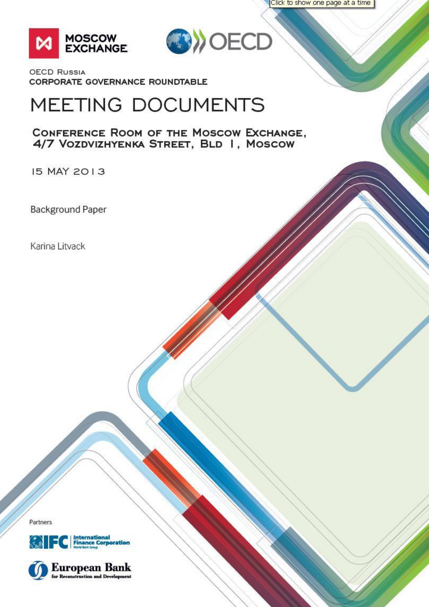Click to show one page at a time





**OECD RUSSIA** CORPORATE GOVERNANCE ROUNDTABLE

# MEETING DOCUMENTS

CONFERENCE ROOM OF THE MOSCOW EXCHANGE, 4/7 VOZDVIZHYENKA STREET, BLD I, MOSCOW

15 MAY 2013

**Background Paper** 

Karina Litvack

Partners



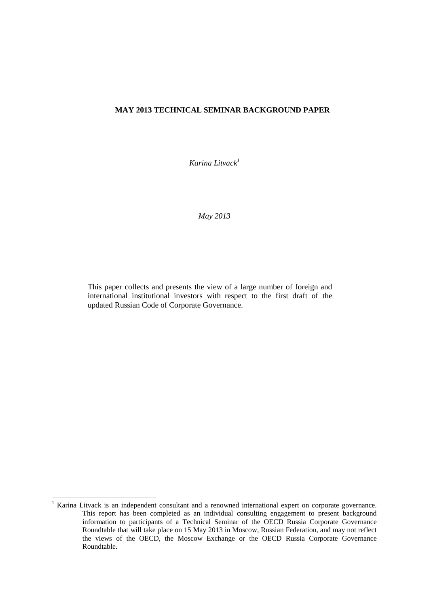#### **MAY 2013 TECHNICAL SEMINAR BACKGROUND PAPER**

*Karina Litvack 1*

*May 2013*

This paper collects and presents the view of a large number of foreign and international institutional investors with respect to the first draft of the updated Russian Code of Corporate Governance.

1

<sup>&</sup>lt;sup>1</sup> Karina Litvack is an independent consultant and a renowned international expert on corporate governance. This report has been completed as an individual consulting engagement to present background information to participants of a Technical Seminar of the OECD Russia Corporate Governance Roundtable that will take place on 15 May 2013 in Moscow, Russian Federation, and may not reflect the views of the OECD, the Moscow Exchange or the OECD Russia Corporate Governance Roundtable.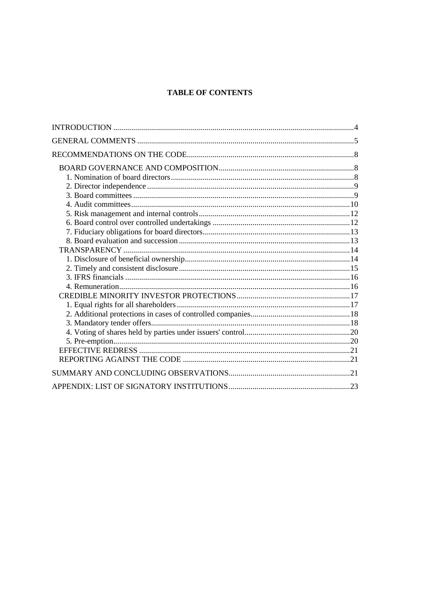# **TABLE OF CONTENTS**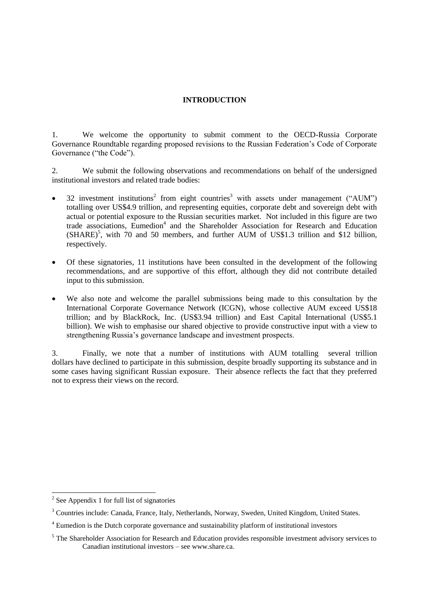# <span id="page-3-0"></span>**INTRODUCTION**

1. We welcome the opportunity to submit comment to the OECD-Russia Corporate Governance Roundtable regarding proposed revisions to the Russian Federation"s Code of Corporate Governance ("the Code").

2. We submit the following observations and recommendations on behalf of the undersigned institutional investors and related trade bodies:

- $\bullet$  32 investment institutions<sup>2</sup> from eight countries<sup>3</sup> with assets under management ("AUM") totalling over US\$4.9 trillion, and representing equities, corporate debt and sovereign debt with actual or potential exposure to the Russian securities market. Not included in this figure are two trade associations, Eumedion<sup>4</sup> and the Shareholder Association for Research and Education  $(SHARE)^5$ , with 70 and 50 members, and further AUM of US\$1.3 trillion and \$12 billion, respectively.
- Of these signatories, 11 institutions have been consulted in the development of the following recommendations, and are supportive of this effort, although they did not contribute detailed input to this submission.
- We also note and welcome the parallel submissions being made to this consultation by the International Corporate Governance Network (ICGN), whose collective AUM exceed US\$18 trillion; and by BlackRock, Inc. (US\$3.94 trillion) and East Capital International (US\$5.1 billion). We wish to emphasise our shared objective to provide constructive input with a view to strengthening Russia"s governance landscape and investment prospects.

3. Finally, we note that a number of institutions with AUM totalling several trillion dollars have declined to participate in this submission, despite broadly supporting its substance and in some cases having significant Russian exposure. Their absence reflects the fact that they preferred not to express their views on the record.

<sup>&</sup>lt;sup>2</sup> See Appendix 1 for full list of signatories

<sup>&</sup>lt;sup>3</sup> Countries include: Canada, France, Italy, Netherlands, Norway, Sweden, United Kingdom, United States.

<sup>&</sup>lt;sup>4</sup> Eumedion is the Dutch corporate governance and sustainability platform of institutional investors

 $<sup>5</sup>$  The Shareholder Association for Research and Education provides responsible investment advisory services to</sup> Canadian institutional investors – see www.share.ca.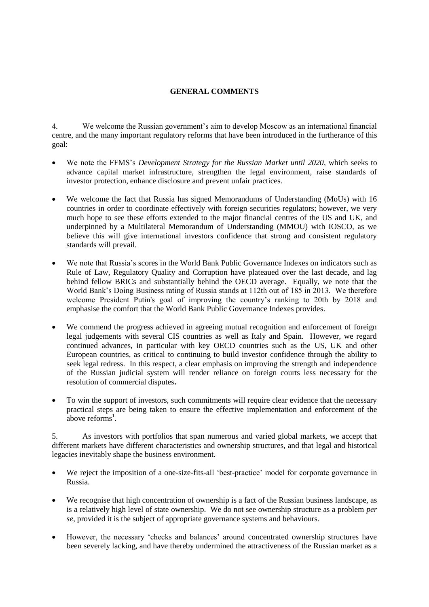# <span id="page-4-0"></span>**GENERAL COMMENTS**

4. We welcome the Russian government"s aim to develop Moscow as an international financial centre, and the many important regulatory reforms that have been introduced in the furtherance of this goal:

- We note the FFMS"s *Development Strategy for the Russian Market until 2020*, which seeks to advance capital market infrastructure, strengthen the legal environment, raise standards of investor protection, enhance disclosure and prevent unfair practices.
- We welcome the fact that Russia has signed Memorandums of Understanding (MoUs) with 16 countries in order to coordinate effectively with foreign securities regulators; however, we very much hope to see these efforts extended to the major financial centres of the US and UK, and underpinned by a Multilateral Memorandum of Understanding (MMOU) with IOSCO, as we believe this will give international investors confidence that strong and consistent regulatory standards will prevail.
- We note that Russia"s scores in the World Bank Public Governance Indexes on indicators such as Rule of Law, Regulatory Quality and Corruption have plateaued over the last decade, and lag behind fellow BRICs and substantially behind the OECD average. Equally, we note that the World Bank"s Doing Business rating of Russia stands at 112th out of 185 in 2013. We therefore welcome President Putin's goal of improving the country"s ranking to 20th by 2018 and emphasise the comfort that the World Bank Public Governance Indexes provides.
- We commend the progress achieved in agreeing mutual recognition and enforcement of foreign legal judgements with several CIS countries as well as Italy and Spain. However, we regard continued advances, in particular with key OECD countries such as the US, UK and other European countries, as critical to continuing to build investor confidence through the ability to seek legal redress. In this respect, a clear emphasis on improving the strength and independence of the Russian judicial system will render reliance on foreign courts less necessary for the resolution of commercial disputes**.**
- To win the support of investors, such commitments will require clear evidence that the necessary practical steps are being taken to ensure the effective implementation and enforcement of the above reforms<sup>1</sup>.

5. As investors with portfolios that span numerous and varied global markets, we accept that different markets have different characteristics and ownership structures, and that legal and historical legacies inevitably shape the business environment.

- We reject the imposition of a one-size-fits-all "best-practice" model for corporate governance in Russia.
- We recognise that high concentration of ownership is a fact of the Russian business landscape, as is a relatively high level of state ownership. We do not see ownership structure as a problem *per se*, provided it is the subject of appropriate governance systems and behaviours.
- However, the necessary 'checks and balances' around concentrated ownership structures have been severely lacking, and have thereby undermined the attractiveness of the Russian market as a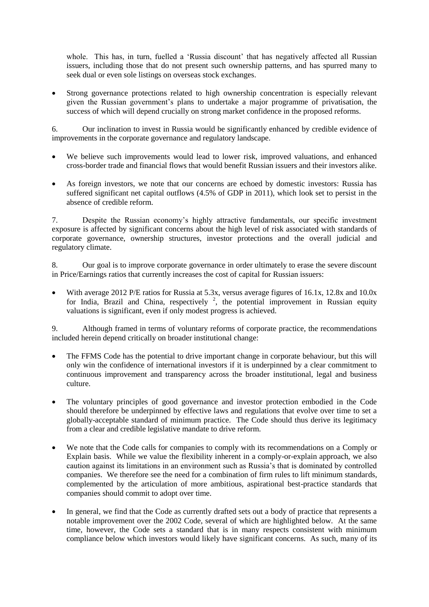whole. This has, in turn, fuelled a 'Russia discount' that has negatively affected all Russian issuers, including those that do not present such ownership patterns, and has spurred many to seek dual or even sole listings on overseas stock exchanges.

 Strong governance protections related to high ownership concentration is especially relevant given the Russian government's plans to undertake a major programme of privatisation, the success of which will depend crucially on strong market confidence in the proposed reforms.

6. Our inclination to invest in Russia would be significantly enhanced by credible evidence of improvements in the corporate governance and regulatory landscape.

- We believe such improvements would lead to lower risk, improved valuations, and enhanced cross-border trade and financial flows that would benefit Russian issuers and their investors alike.
- As foreign investors, we note that our concerns are echoed by domestic investors: Russia has suffered significant net capital outflows (4.5% of GDP in 2011), which look set to persist in the absence of credible reform.

7. Despite the Russian economy"s highly attractive fundamentals, our specific investment exposure is affected by significant concerns about the high level of risk associated with standards of corporate governance, ownership structures, investor protections and the overall judicial and regulatory climate.

8. Our goal is to improve corporate governance in order ultimately to erase the severe discount in Price/Earnings ratios that currently increases the cost of capital for Russian issuers:

 With average 2012 P/E ratios for Russia at 5.3x, versus average figures of 16.1x, 12.8x and 10.0x for India, Brazil and China, respectively  $2$ , the potential improvement in Russian equity valuations is significant, even if only modest progress is achieved.

9. Although framed in terms of voluntary reforms of corporate practice, the recommendations included herein depend critically on broader institutional change:

- The FFMS Code has the potential to drive important change in corporate behaviour, but this will only win the confidence of international investors if it is underpinned by a clear commitment to continuous improvement and transparency across the broader institutional, legal and business culture.
- The voluntary principles of good governance and investor protection embodied in the Code should therefore be underpinned by effective laws and regulations that evolve over time to set a globally-acceptable standard of minimum practice. The Code should thus derive its legitimacy from a clear and credible legislative mandate to drive reform.
- We note that the Code calls for companies to comply with its recommendations on a Comply or Explain basis. While we value the flexibility inherent in a comply-or-explain approach, we also caution against its limitations in an environment such as Russia"s that is dominated by controlled companies. We therefore see the need for a combination of firm rules to lift minimum standards, complemented by the articulation of more ambitious, aspirational best-practice standards that companies should commit to adopt over time.
- In general, we find that the Code as currently drafted sets out a body of practice that represents a notable improvement over the 2002 Code, several of which are highlighted below. At the same time, however, the Code sets a standard that is in many respects consistent with minimum compliance below which investors would likely have significant concerns. As such, many of its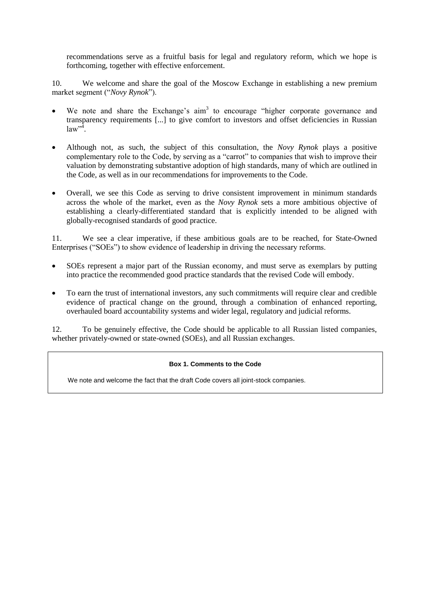recommendations serve as a fruitful basis for legal and regulatory reform, which we hope is forthcoming, together with effective enforcement.

10. We welcome and share the goal of the Moscow Exchange in establishing a new premium market segment ("*Novy Rynok*").

- $\bullet$  We note and share the Exchange's aim<sup>3</sup> to encourage "higher corporate governance and transparency requirements [...] to give comfort to investors and offset deficiencies in Russian  $law^{\mathcal{A}}$ .
- Although not, as such, the subject of this consultation, the *Novy Rynok* plays a positive complementary role to the Code, by serving as a "carrot" to companies that wish to improve their valuation by demonstrating substantive adoption of high standards, many of which are outlined in the Code, as well as in our recommendations for improvements to the Code.
- Overall, we see this Code as serving to drive consistent improvement in minimum standards across the whole of the market, even as the *Novy Rynok* sets a more ambitious objective of establishing a clearly-differentiated standard that is explicitly intended to be aligned with globally-recognised standards of good practice.

11. We see a clear imperative, if these ambitious goals are to be reached, for State-Owned Enterprises ("SOEs") to show evidence of leadership in driving the necessary reforms.

- SOEs represent a major part of the Russian economy, and must serve as exemplars by putting into practice the recommended good practice standards that the revised Code will embody.
- To earn the trust of international investors, any such commitments will require clear and credible evidence of practical change on the ground, through a combination of enhanced reporting, overhauled board accountability systems and wider legal, regulatory and judicial reforms.

12. To be genuinely effective, the Code should be applicable to all Russian listed companies, whether privately-owned or state-owned (SOEs), and all Russian exchanges.

# **Box 1. Comments to the Code**

We note and welcome the fact that the draft Code covers all joint-stock companies.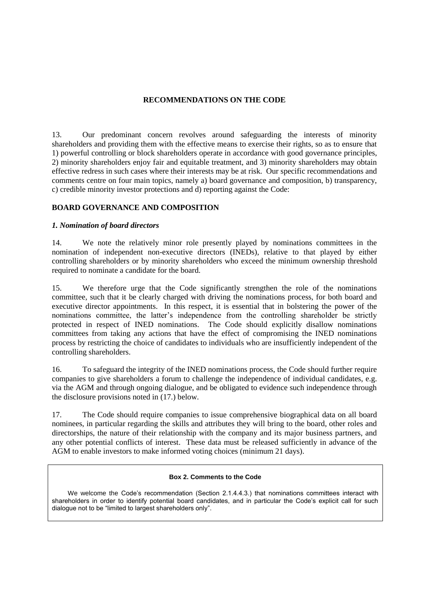# <span id="page-7-0"></span>**RECOMMENDATIONS ON THE CODE**

13. Our predominant concern revolves around safeguarding the interests of minority shareholders and providing them with the effective means to exercise their rights, so as to ensure that 1) powerful controlling or block shareholders operate in accordance with good governance principles, 2) minority shareholders enjoy fair and equitable treatment, and 3) minority shareholders may obtain effective redress in such cases where their interests may be at risk. Our specific recommendations and comments centre on four main topics, namely a) board governance and composition, b) transparency, c) credible minority investor protections and d) reporting against the Code:

# <span id="page-7-1"></span>**BOARD GOVERNANCE AND COMPOSITION**

# <span id="page-7-2"></span>*1. Nomination of board directors*

14. We note the relatively minor role presently played by nominations committees in the nomination of independent non-executive directors (INEDs), relative to that played by either controlling shareholders or by minority shareholders who exceed the minimum ownership threshold required to nominate a candidate for the board.

15. We therefore urge that the Code significantly strengthen the role of the nominations committee, such that it be clearly charged with driving the nominations process, for both board and executive director appointments. In this respect, it is essential that in bolstering the power of the nominations committee, the latter"s independence from the controlling shareholder be strictly protected in respect of INED nominations. The Code should explicitly disallow nominations committees from taking any actions that have the effect of compromising the INED nominations process by restricting the choice of candidates to individuals who are insufficiently independent of the controlling shareholders.

16. To safeguard the integrity of the INED nominations process, the Code should further require companies to give shareholders a forum to challenge the independence of individual candidates, e.g. via the AGM and through ongoing dialogue, and be obligated to evidence such independence through the disclosure provisions noted in (17.) below.

17. The Code should require companies to issue comprehensive biographical data on all board nominees, in particular regarding the skills and attributes they will bring to the board, other roles and directorships, the nature of their relationship with the company and its major business partners, and any other potential conflicts of interest. These data must be released sufficiently in advance of the AGM to enable investors to make informed voting choices (minimum 21 days).

#### **Box 2. Comments to the Code**

We welcome the Code's recommendation (Section 2.1.4.4.3.) that nominations committees interact with shareholders in order to identify potential board candidates, and in particular the Code's explicit call for such dialogue not to be "limited to largest shareholders only".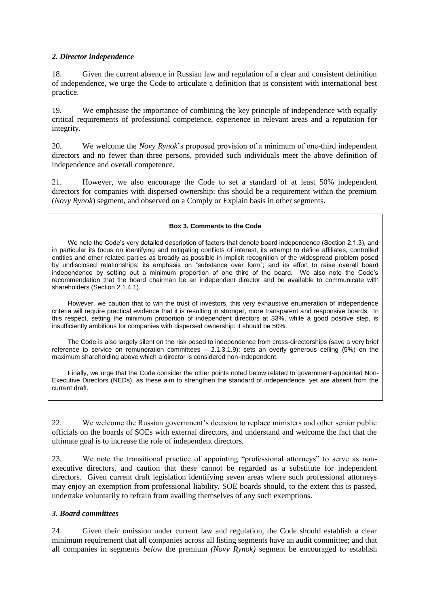# <span id="page-8-0"></span>*2. Director independence*

18. Given the current absence in Russian law and regulation of a clear and consistent definition of independence, we urge the Code to articulate a definition that is consistent with international best practice*.*

19. We emphasise the importance of combining the key principle of independence with equally critical requirements of professional competence, experience in relevant areas and a reputation for integrity.

20. We welcome the *Novy Rynok*"s proposed provision of a minimum of one-third independent directors and no fewer than three persons, provided such individuals meet the above definition of independence and overall competence.

21. However, we also encourage the Code to set a standard of at least 50% independent directors for companies with dispersed ownership; this should be a requirement within the premium (*Novy Rynok*) segment, and observed on a Comply or Explain basis in other segments.

## **Box 3. Comments to the Code**

We note the Code's very detailed description of factors that denote board independence (Section 2.1.3), and in particular its focus on identifying and mitigating conflicts of interest; its attempt to define affiliates, controlled entities and other related parties as broadly as possible in implicit recognition of the widespread problem posed by undisclosed relationships; its emphasis on "substance over form"; and its effort to raise overall board independence by setting out a minimum proportion of one third of the board. We also note the Code's recommendation that the board chairman be an independent director and be available to communicate with shareholders (Section 2.1.4.1).

However, we caution that to win the trust of investors, this very exhaustive enumeration of independence criteria will require practical evidence that it is resulting in stronger, more transparent and responsive boards. In this respect, setting the minimum proportion of independent directors at 33%, while a good positive step, is insufficiently ambitious for companies with dispersed ownership: it should be 50%.

The Code is also largely silent on the risk posed to independence from cross-directorships (save a very brief reference to service on remuneration committees – 2.1.3.1.9); sets an overly generous ceiling (5%) on the maximum shareholding above which a director is considered non-independent.

Finally, we urge that the Code consider the other points noted below related to government-appointed Non-Executive Directors (NEDs), as these aim to strengthen the standard of independence, yet are absent from the current draft.

22. We welcome the Russian government"s decision to replace ministers and other senior public officials on the boards of SOEs with external directors, and understand and welcome the fact that the ultimate goal is to increase the role of independent directors.

23. We note the transitional practice of appointing "professional attorneys" to serve as nonexecutive directors, and caution that these cannot be regarded as a substitute for independent directors. Given current draft legislation identifying seven areas where such professional attorneys may enjoy an exemption from professional liability, SOE boards should, to the extent this is passed, undertake voluntarily to refrain from availing themselves of any such exemptions.

# <span id="page-8-1"></span>*3. Board committees*

24. Given their omission under current law and regulation, the Code should establish a clear minimum requirement that all companies across all listing segments have an audit committee; and that all companies in segments *below* the premium *(Novy Rynok)* segment be encouraged to establish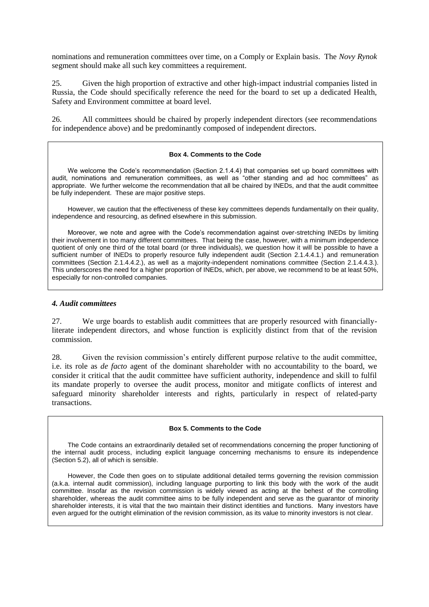nominations and remuneration committees over time, on a Comply or Explain basis. The *Novy Rynok* segment should make all such key committees a requirement.

25. Given the high proportion of extractive and other high-impact industrial companies listed in Russia, the Code should specifically reference the need for the board to set up a dedicated Health, Safety and Environment committee at board level.

26. All committees should be chaired by properly independent directors (see recommendations for independence above) and be predominantly composed of independent directors.

#### **Box 4. Comments to the Code**

We welcome the Code's recommendation (Section 2.1.4.4) that companies set up board committees with audit, nominations and remuneration committees, as well as "other standing and ad hoc committees" as appropriate. We further welcome the recommendation that all be chaired by INEDs, and that the audit committee be fully independent. These are major positive steps.

However, we caution that the effectiveness of these key committees depends fundamentally on their quality, independence and resourcing, as defined elsewhere in this submission.

Moreover, we note and agree with the Code's recommendation against over-stretching INEDs by limiting their involvement in too many different committees. That being the case, however, with a minimum independence quotient of only one third of the total board (or three individuals), we question how it will be possible to have a sufficient number of INEDs to properly resource fully independent audit (Section 2.1.4.4.1.) and remuneration committees (Section 2.1.4.4.2.), as well as a majority-independent nominations committee (Section 2.1.4.4.3.). This underscores the need for a higher proportion of INEDs, which, per above, we recommend to be at least 50%, especially for non-controlled companies.

### <span id="page-9-0"></span>*4. Audit committees*

27. We urge boards to establish audit committees that are properly resourced with financiallyliterate independent directors, and whose function is explicitly distinct from that of the revision commission.

28. Given the revision commission"s entirely different purpose relative to the audit committee, i.e. its role as *de facto* agent of the dominant shareholder with no accountability to the board, we consider it critical that the audit committee have sufficient authority, independence and skill to fulfil its mandate properly to oversee the audit process, monitor and mitigate conflicts of interest and safeguard minority shareholder interests and rights, particularly in respect of related-party transactions.

#### **Box 5. Comments to the Code**

The Code contains an extraordinarily detailed set of recommendations concerning the proper functioning of the internal audit process, including explicit language concerning mechanisms to ensure its independence (Section 5.2), all of which is sensible.

However, the Code then goes on to stipulate additional detailed terms governing the revision commission (a.k.a. internal audit commission), including language purporting to link this body with the work of the audit committee. Insofar as the revision commission is widely viewed as acting at the behest of the controlling shareholder, whereas the audit committee aims to be fully independent and serve as the guarantor of minority shareholder interests, it is vital that the two maintain their distinct identities and functions. Many investors have even argued for the outright elimination of the revision commission, as its value to minority investors is not clear.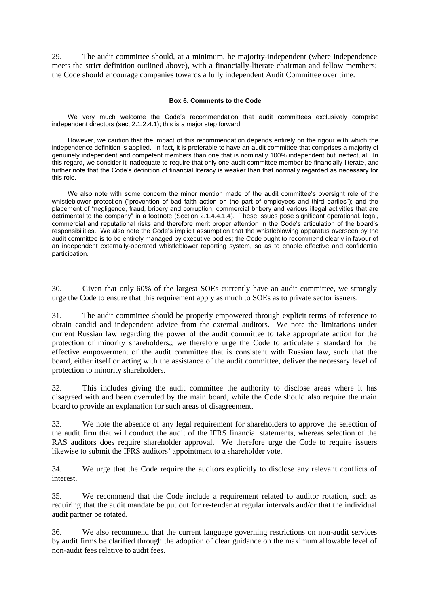29. The audit committee should, at a minimum, be majority-independent (where independence meets the strict definition outlined above), with a financially-literate chairman and fellow members; the Code should encourage companies towards a fully independent Audit Committee over time.

#### **Box 6. Comments to the Code**

We very much welcome the Code's recommendation that audit committees exclusively comprise independent directors (sect 2.1.2.4.1); this is a major step forward.

However, we caution that the impact of this recommendation depends entirely on the rigour with which the independence definition is applied. In fact, it is preferable to have an audit committee that comprises a majority of genuinely independent and competent members than one that is nominally 100% independent but ineffectual. In this regard, we consider it inadequate to require that only one audit committee member be financially literate, and further note that the Code's definition of financial literacy is weaker than that normally regarded as necessary for this role.

We also note with some concern the minor mention made of the audit committee's oversight role of the whistleblower protection ("prevention of bad faith action on the part of employees and third parties"); and the placement of "negligence, fraud, bribery and corruption, commercial bribery and various illegal activities that are detrimental to the company" in a footnote (Section 2.1.4.4.1.4). These issues pose significant operational, legal, commercial and reputational risks and therefore merit proper attention in the Code's articulation of the board's responsibilities. We also note the Code's implicit assumption that the whistleblowing apparatus overseen by the audit committee is to be entirely managed by executive bodies; the Code ought to recommend clearly in favour of an independent externally-operated whistleblower reporting system, so as to enable effective and confidential participation.

30. Given that only 60% of the largest SOEs currently have an audit committee, we strongly urge the Code to ensure that this requirement apply as much to SOEs as to private sector issuers.

31. The audit committee should be properly empowered through explicit terms of reference to obtain candid and independent advice from the external auditors. We note the limitations under current Russian law regarding the power of the audit committee to take appropriate action for the protection of minority shareholders,; we therefore urge the Code to articulate a standard for the effective empowerment of the audit committee that is consistent with Russian law, such that the board, either itself or acting with the assistance of the audit committee, deliver the necessary level of protection to minority shareholders.

32. This includes giving the audit committee the authority to disclose areas where it has disagreed with and been overruled by the main board, while the Code should also require the main board to provide an explanation for such areas of disagreement.

33. We note the absence of any legal requirement for shareholders to approve the selection of the audit firm that will conduct the audit of the IFRS financial statements, whereas selection of the RAS auditors does require shareholder approval. We therefore urge the Code to require issuers likewise to submit the IFRS auditors' appointment to a shareholder vote.

34. We urge that the Code require the auditors explicitly to disclose any relevant conflicts of interest.

35. We recommend that the Code include a requirement related to auditor rotation, such as requiring that the audit mandate be put out for re-tender at regular intervals and/or that the individual audit partner be rotated.

36. We also recommend that the current language governing restrictions on non-audit services by audit firms be clarified through the adoption of clear guidance on the maximum allowable level of non-audit fees relative to audit fees.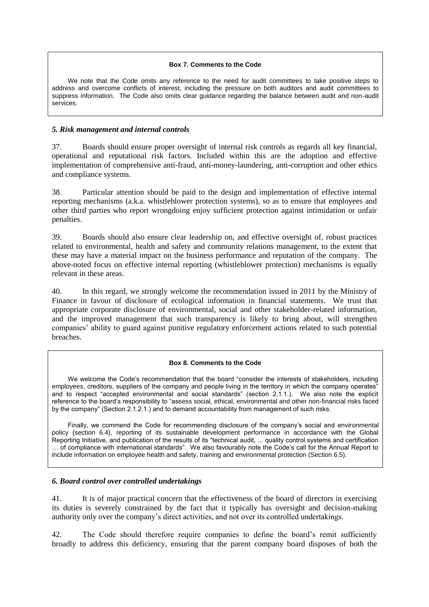#### **Box 7. Comments to the Code**

We note that the Code omits any reference to the need for audit committees to take positive steps to address and overcome conflicts of interest, including the pressure on both auditors and audit committees to suppress information. The Code also omits clear guidance regarding the balance between audit and non-audit services.

## <span id="page-11-0"></span>*5. Risk management and internal controls*

37. Boards should ensure proper oversight of internal risk controls as regards all key financial, operational and reputational risk factors. Included within this are the adoption and effective implementation of comprehensive anti-fraud, anti-money-laundering, anti-corruption and other ethics and compliance systems.

38. Particular attention should be paid to the design and implementation of effective internal reporting mechanisms (a.k.a. whistleblower protection systems), so as to ensure that employees and other third parties who report wrongdoing enjoy sufficient protection against intimidation or unfair penalties.

39. Boards should also ensure clear leadership on, and effective oversight of, robust practices related to environmental, health and safety and community relations management, to the extent that these may have a material impact on the business performance and reputation of the company. The above-noted focus on effective internal reporting (whistleblower protection) mechanisms is equally relevant in these areas.

40. In this regard, we strongly welcome the recommendation issued in 2011 by the Ministry of Finance in favour of disclosure of ecological information in financial statements. We trust that appropriate corporate disclosure of environmental, social and other stakeholder-related information, and the improved management that such transparency is likely to bring about, will strengthen companies" ability to guard against punitive regulatory enforcement actions related to such potential breaches.

#### **Box 8. Comments to the Code**

We welcome the Code's recommendation that the board "consider the interests of stakeholders, including employees, creditors, suppliers of the company and people living in the territory in which the company operates" and to respect "accepted environmental and social standards" (section 2.1.1.). We also note the explicit reference to the board's responsibility to "assess social, ethical, environmental and other non-financial risks faced by the company" (Section 2.1.2.1.) and to demand accountability from management of such risks.

Finally, we commend the Code for recommending disclosure of the company's social and environmental policy (section 6.4), reporting of its sustainable development performance in accordance with the Global Reporting Initiative, and publication of the results of its "technical audit, ... quality control systems and certification … of compliance with international standards". We also favourably note the Code's call for the Annual Report to include information on employee health and safety, training and environmental protection (Section 6.5).

# <span id="page-11-1"></span>*6. Board control over controlled undertakings*

41. It is of major practical concern that the effectiveness of the board of directors in exercising its duties is severely constrained by the fact that it typically has oversight and decision-making authority only over the company"s direct activities, and not over its controlled undertakings.

42. The Code should therefore require companies to define the board"s remit sufficiently broadly to address this deficiency, ensuring that the parent company board disposes of both the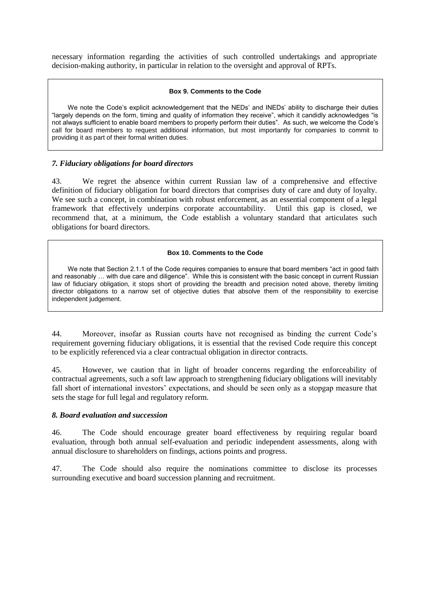necessary information regarding the activities of such controlled undertakings and appropriate decision-making authority, in particular in relation to the oversight and approval of RPTs.

#### **Box 9. Comments to the Code**

We note the Code's explicit acknowledgement that the NEDs' and INEDs' ability to discharge their duties "largely depends on the form, timing and quality of information they receive", which it candidly acknowledges "is not always sufficient to enable board members to properly perform their duties". As such, we welcome the Code's call for board members to request additional information, but most importantly for companies to commit to providing it as part of their formal written duties.

# <span id="page-12-0"></span>*7. Fiduciary obligations for board directors*

43. We regret the absence within current Russian law of a comprehensive and effective definition of fiduciary obligation for board directors that comprises duty of care and duty of loyalty. We see such a concept, in combination with robust enforcement, as an essential component of a legal framework that effectively underpins corporate accountability. Until this gap is closed, we recommend that, at a minimum, the Code establish a voluntary standard that articulates such obligations for board directors.

# **Box 10. Comments to the Code**

We note that Section 2.1.1 of the Code requires companies to ensure that board members "act in good faith" and reasonably ... with due care and diligence". While this is consistent with the basic concept in current Russian law of fiduciary obligation, it stops short of providing the breadth and precision noted above, thereby limiting director obligations to a narrow set of objective duties that absolve them of the responsibility to exercise independent judgement.

44. Moreover, insofar as Russian courts have not recognised as binding the current Code"s requirement governing fiduciary obligations, it is essential that the revised Code require this concept to be explicitly referenced via a clear contractual obligation in director contracts.

45. However, we caution that in light of broader concerns regarding the enforceability of contractual agreements, such a soft law approach to strengthening fiduciary obligations will inevitably fall short of international investors" expectations, and should be seen only as a stopgap measure that sets the stage for full legal and regulatory reform.

# <span id="page-12-1"></span>*8. Board evaluation and succession*

46. The Code should encourage greater board effectiveness by requiring regular board evaluation, through both annual self-evaluation and periodic independent assessments, along with annual disclosure to shareholders on findings, actions points and progress.

47. The Code should also require the nominations committee to disclose its processes surrounding executive and board succession planning and recruitment.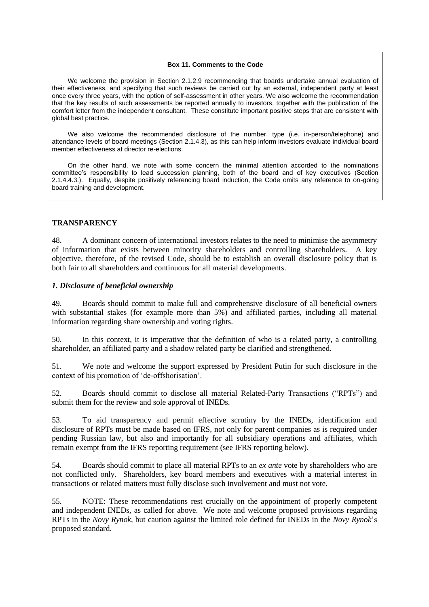#### **Box 11. Comments to the Code**

We welcome the provision in Section 2.1.2.9 recommending that boards undertake annual evaluation of their effectiveness, and specifying that such reviews be carried out by an external, independent party at least once every three years, with the option of self-assessment in other years. We also welcome the recommendation that the key results of such assessments be reported annually to investors, together with the publication of the comfort letter from the independent consultant. These constitute important positive steps that are consistent with global best practice.

We also welcome the recommended disclosure of the number, type (i.e. in-person/telephone) and attendance levels of board meetings (Section 2.1.4.3), as this can help inform investors evaluate individual board member effectiveness at director re-elections.

On the other hand, we note with some concern the minimal attention accorded to the nominations committee's responsibility to lead succession planning, both of the board and of key executives (Section 2.1.4.4.3.). Equally, despite positively referencing board induction, the Code omits any reference to on-going board training and development.

## <span id="page-13-0"></span>**TRANSPARENCY**

48. A dominant concern of international investors relates to the need to minimise the asymmetry of information that exists between minority shareholders and controlling shareholders. A key objective, therefore, of the revised Code, should be to establish an overall disclosure policy that is both fair to all shareholders and continuous for all material developments.

## <span id="page-13-1"></span>*1. Disclosure of beneficial ownership*

49. Boards should commit to make full and comprehensive disclosure of all beneficial owners with substantial stakes (for example more than 5%) and affiliated parties, including all material information regarding share ownership and voting rights.

50. In this context, it is imperative that the definition of who is a related party, a controlling shareholder, an affiliated party and a shadow related party be clarified and strengthened.

51. We note and welcome the support expressed by President Putin for such disclosure in the context of his promotion of "de-offshorisation".

52. Boards should commit to disclose all material Related-Party Transactions ("RPTs") and submit them for the review and sole approval of INEDs.

53. To aid transparency and permit effective scrutiny by the INEDs, identification and disclosure of RPTs must be made based on IFRS, not only for parent companies as is required under pending Russian law, but also and importantly for all subsidiary operations and affiliates, which remain exempt from the IFRS reporting requirement (see IFRS reporting below).

54. Boards should commit to place all material RPTs to an *ex ante* vote by shareholders who are not conflicted only. Shareholders, key board members and executives with a material interest in transactions or related matters must fully disclose such involvement and must not vote.

55. NOTE: These recommendations rest crucially on the appointment of properly competent and independent INEDs, as called for above. We note and welcome proposed provisions regarding RPTs in the *Novy Rynok*, but caution against the limited role defined for INEDs in the *Novy Rynok*"s proposed standard.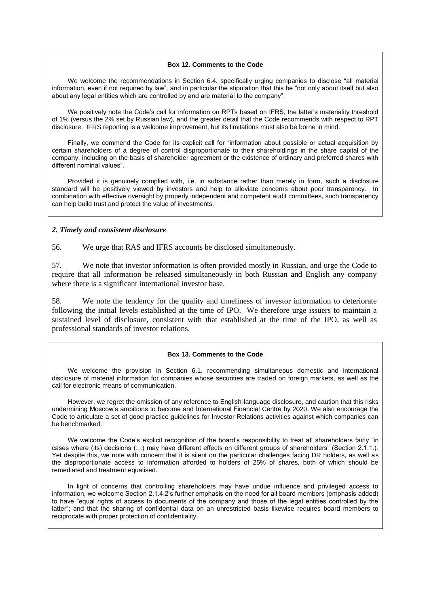#### **Box 12. Comments to the Code**

We welcome the recommendations in Section 6.4. specifically urging companies to disclose "all material information, even if not required by law", and in particular the stipulation that this be "not only about itself but also about any legal entities which are controlled by and are material to the company".

We positively note the Code's call for information on RPTs based on IFRS, the latter's materiality threshold of 1% (versus the 2% set by Russian law), and the greater detail that the Code recommends with respect to RPT disclosure. IFRS reporting is a welcome improvement, but its limitations must also be borne in mind.

Finally, we commend the Code for its explicit call for "information about possible or actual acquisition by certain shareholders of a degree of control disproportionate to their shareholdings in the share capital of the company, including on the basis of shareholder agreement or the existence of ordinary and preferred shares with different nominal values".

Provided it is genuinely complied with, i.e. in substance rather than merely in form, such a disclosure standard will be positively viewed by investors and help to alleviate concerns about poor transparency. In combination with effective oversight by properly independent and competent audit committees, such transparency can help build trust and protect the value of investments.

## <span id="page-14-0"></span>*2. Timely and consistent disclosure*

56. We urge that RAS and IFRS accounts be disclosed simultaneously.

57. We note that investor information is often provided mostly in Russian, and urge the Code to require that all information be released simultaneously in both Russian and English any company where there is a significant international investor base.

58. We note the tendency for the quality and timeliness of investor information to deteriorate following the initial levels established at the time of IPO. We therefore urge issuers to maintain a sustained level of disclosure, consistent with that established at the time of the IPO, as well as professional standards of investor relations.

#### **Box 13. Comments to the Code**

We welcome the provision in Section 6.1. recommending simultaneous domestic and international disclosure of material information for companies whose securities are traded on foreign markets, as well as the call for electronic means of communication.

However, we regret the omission of any reference to English-language disclosure, and caution that this risks undermining Moscow's ambitions to become and International Financial Centre by 2020. We also encourage the Code to articulate a set of good practice guidelines for Investor Relations activities against which companies can be benchmarked.

We welcome the Code's explicit recognition of the board's responsibility to treat all shareholders fairly "in cases where (its) decisions (…) may have different effects on different groups of shareholders" (Section 2.1.1.). Yet despite this, we note with concern that it is silent on the particular challenges facing DR holders, as well as the disproportionate access to information afforded to holders of 25% of shares, both of which should be remediated and treatment equalised.

In light of concerns that controlling shareholders may have undue influence and privileged access to information, we welcome Section 2.1.4.2's further emphasis on the need for all board members (emphasis added) to have "equal rights of access to documents of the company and those of the legal entities controlled by the latter"; and that the sharing of confidential data on an unrestricted basis likewise requires board members to reciprocate with proper protection of confidentiality.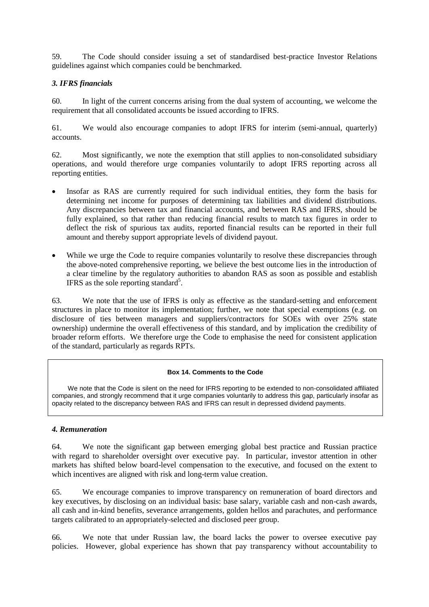59. The Code should consider issuing a set of standardised best-practice Investor Relations guidelines against which companies could be benchmarked.

# <span id="page-15-0"></span>*3. IFRS financials*

60. In light of the current concerns arising from the dual system of accounting, we welcome the requirement that all consolidated accounts be issued according to IFRS.

61. We would also encourage companies to adopt IFRS for interim (semi-annual, quarterly) accounts.

62. Most significantly, we note the exemption that still applies to non-consolidated subsidiary operations, and would therefore urge companies voluntarily to adopt IFRS reporting across all reporting entities.

- Insofar as RAS are currently required for such individual entities, they form the basis for determining net income for purposes of determining tax liabilities and dividend distributions. Any discrepancies between tax and financial accounts, and between RAS and IFRS, should be fully explained, so that rather than reducing financial results to match tax figures in order to deflect the risk of spurious tax audits, reported financial results can be reported in their full amount and thereby support appropriate levels of dividend payout.
- While we urge the Code to require companies voluntarily to resolve these discrepancies through the above-noted comprehensive reporting, we believe the best outcome lies in the introduction of a clear timeline by the regulatory authorities to abandon RAS as soon as possible and establish IFRS as the sole reporting standard<sup>5</sup>.

63. We note that the use of IFRS is only as effective as the standard-setting and enforcement structures in place to monitor its implementation; further, we note that special exemptions (e.g. on disclosure of ties between managers and suppliers/contractors for SOEs with over 25% state ownership) undermine the overall effectiveness of this standard, and by implication the credibility of broader reform efforts. We therefore urge the Code to emphasise the need for consistent application of the standard, particularly as regards RPTs.

#### **Box 14. Comments to the Code**

We note that the Code is silent on the need for IFRS reporting to be extended to non-consolidated affiliated companies, and strongly recommend that it urge companies voluntarily to address this gap, particularly insofar as opacity related to the discrepancy between RAS and IFRS can result in depressed dividend payments.

# <span id="page-15-1"></span>*4. Remuneration*

64. We note the significant gap between emerging global best practice and Russian practice with regard to shareholder oversight over executive pay. In particular, investor attention in other markets has shifted below board-level compensation to the executive, and focused on the extent to which incentives are aligned with risk and long-term value creation.

65. We encourage companies to improve transparency on remuneration of board directors and key executives, by disclosing on an individual basis: base salary, variable cash and non-cash awards, all cash and in-kind benefits, severance arrangements, golden hellos and parachutes, and performance targets calibrated to an appropriately-selected and disclosed peer group.

66. We note that under Russian law, the board lacks the power to oversee executive pay policies. However, global experience has shown that pay transparency without accountability to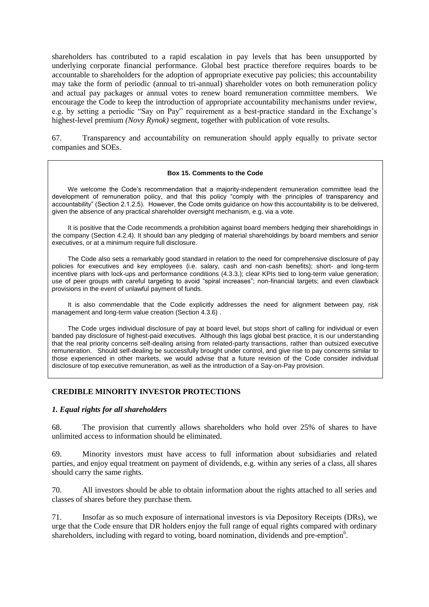shareholders has contributed to a rapid escalation in pay levels that has been unsupported by underlying corporate financial performance. Global best practice therefore requires boards to be accountable to shareholders for the adoption of appropriate executive pay policies; this accountability may take the form of periodic (annual to tri-annual) shareholder votes on both remuneration policy and actual pay packages or annual votes to renew board remuneration committee members. We encourage the Code to keep the introduction of appropriate accountability mechanisms under review, e.g. by setting a periodic "Say on Pay" requirement as a best-practice standard in the Exchange"s highest-level premium *(Novy Rynok)* segment, together with publication of vote results.

67. Transparency and accountability on remuneration should apply equally to private sector companies and SOEs.

#### **Box 15. Comments to the Code**

We welcome the Code's recommendation that a majority-independent remuneration committee lead the development of remuneration policy, and that this policy "comply with the principles of transparency and accountability" (Section 2.1.2.5). However, the Code omits guidance on how this accountability is to be delivered, given the absence of any practical shareholder oversight mechanism, e.g. via a vote.

It is positive that the Code recommends a prohibition against board members hedging their shareholdings in the company (Section 4.2.4). It should ban any pledging of material shareholdings by board members and senior executives, or at a minimum require full disclosure.

The Code also sets a remarkably good standard in relation to the need for comprehensive disclosure of pay policies for executives and key employees (i.e. salary, cash and non-cash benefits); short- and long-term incentive plans with lock-ups and performance conditions (4.3.3.); clear KPIs tied to long-term value generation; use of peer groups with careful targeting to avoid "spiral increases"; non-financial targets; and even clawback provisions in the event of unlawful payment of funds.

It is also commendable that the Code explicitly addresses the need for alignment between pay, risk management and long-term value creation (Section 4.3.6) .

The Code urges individual disclosure of pay at board level, but stops short of calling for individual or even banded pay disclosure of highest-paid executives. Although this lags global best practice, it is our understanding that the real priority concerns self-dealing arising from related-party transactions, rather than outsized executive remuneration. Should self-dealing be successfully brought under control, and give rise to pay concerns similar to those experienced in other markets, we would advise that a future revision of the Code consider individual disclosure of top executive remuneration, as well as the introduction of a Say-on-Pay provision.

# <span id="page-16-0"></span>**CREDIBLE MINORITY INVESTOR PROTECTIONS**

#### <span id="page-16-1"></span>*1. Equal rights for all shareholders*

68. The provision that currently allows shareholders who hold over 25% of shares to have unlimited access to information should be eliminated.

69. Minority investors must have access to full information about subsidiaries and related parties, and enjoy equal treatment on payment of dividends, e.g. within any series of a class, all shares should carry the same rights.

70. All investors should be able to obtain information about the rights attached to all series and classes of shares before they purchase them.

71. Insofar as so much exposure of international investors is via Depository Receipts (DRs), we urge that the Code ensure that DR holders enjoy the full range of equal rights compared with ordinary shareholders, including with regard to voting, board nomination, dividends and pre-emption<sup>6</sup>.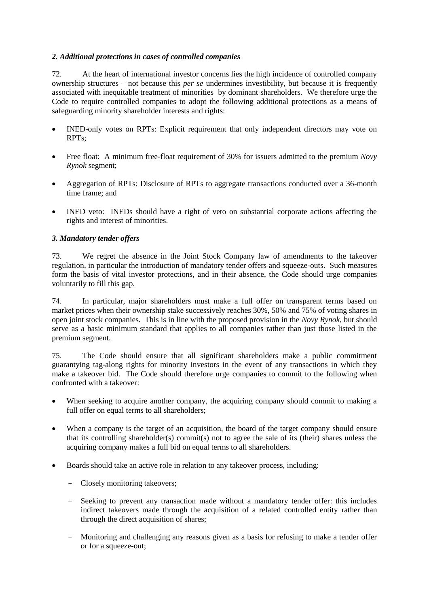# <span id="page-17-0"></span>*2. Additional protections in cases of controlled companies*

72. At the heart of international investor concerns lies the high incidence of controlled company ownership structures – not because this *per se* undermines investibility, but because it is frequently associated with inequitable treatment of minorities by dominant shareholders. We therefore urge the Code to require controlled companies to adopt the following additional protections as a means of safeguarding minority shareholder interests and rights:

- INED-only votes on RPTs: Explicit requirement that only independent directors may vote on RPTs;
- Free float: A minimum free-float requirement of 30% for issuers admitted to the premium *Novy Rynok* segment;
- Aggregation of RPTs: Disclosure of RPTs to aggregate transactions conducted over a 36-month time frame; and
- INED veto: INEDs should have a right of veto on substantial corporate actions affecting the rights and interest of minorities.

# <span id="page-17-1"></span>*3. Mandatory tender offers*

73. We regret the absence in the Joint Stock Company law of amendments to the takeover regulation, in particular the introduction of mandatory tender offers and squeeze-outs. Such measures form the basis of vital investor protections, and in their absence, the Code should urge companies voluntarily to fill this gap.

74. In particular, major shareholders must make a full offer on transparent terms based on market prices when their ownership stake successively reaches 30%, 50% and 75% of voting shares in open joint stock companies. This is in line with the proposed provision in the *Novy Rynok*, but should serve as a basic minimum standard that applies to all companies rather than just those listed in the premium segment.

75. The Code should ensure that all significant shareholders make a public commitment guarantying tag-along rights for minority investors in the event of any transactions in which they make a takeover bid. The Code should therefore urge companies to commit to the following when confronted with a takeover:

- When seeking to acquire another company, the acquiring company should commit to making a full offer on equal terms to all shareholders;
- When a company is the target of an acquisition, the board of the target company should ensure that its controlling shareholder(s) commit(s) not to agree the sale of its (their) shares unless the acquiring company makes a full bid on equal terms to all shareholders.
- Boards should take an active role in relation to any takeover process, including:
	- Closely monitoring takeovers;
	- Seeking to prevent any transaction made without a mandatory tender offer: this includes indirect takeovers made through the acquisition of a related controlled entity rather than through the direct acquisition of shares;
	- Monitoring and challenging any reasons given as a basis for refusing to make a tender offer or for a squeeze-out;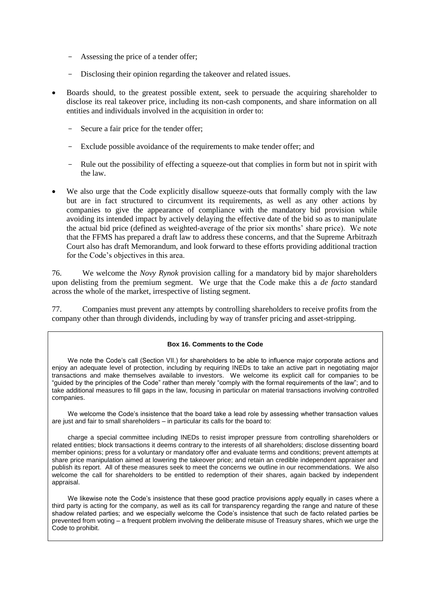- Assessing the price of a tender offer;
- Disclosing their opinion regarding the takeover and related issues.
- Boards should, to the greatest possible extent, seek to persuade the acquiring shareholder to disclose its real takeover price, including its non-cash components, and share information on all entities and individuals involved in the acquisition in order to:
	- Secure a fair price for the tender offer;
	- Exclude possible avoidance of the requirements to make tender offer; and
	- Rule out the possibility of effecting a squeeze-out that complies in form but not in spirit with the law.
- We also urge that the Code explicitly disallow squeeze-outs that formally comply with the law but are in fact structured to circumvent its requirements, as well as any other actions by companies to give the appearance of compliance with the mandatory bid provision while avoiding its intended impact by actively delaying the effective date of the bid so as to manipulate the actual bid price (defined as weighted-average of the prior six months" share price). We note that the FFMS has prepared a draft law to address these concerns, and that the Supreme Arbitrazh Court also has draft Memorandum, and look forward to these efforts providing additional traction for the Code"s objectives in this area.

76. We welcome the *Novy Rynok* provision calling for a mandatory bid by major shareholders upon delisting from the premium segment. We urge that the Code make this a *de facto* standard across the whole of the market, irrespective of listing segment.

77. Companies must prevent any attempts by controlling shareholders to receive profits from the company other than through dividends, including by way of transfer pricing and asset-stripping.

#### **Box 16. Comments to the Code**

We note the Code's call (Section VII.) for shareholders to be able to influence major corporate actions and enjoy an adequate level of protection, including by requiring INEDs to take an active part in negotiating major transactions and make themselves available to investors. We welcome its explicit call for companies to be "guided by the principles of the Code" rather than merely "comply with the formal requirements of the law"; and to take additional measures to fill gaps in the law, focusing in particular on material transactions involving controlled companies.

We welcome the Code's insistence that the board take a lead role by assessing whether transaction values are just and fair to small shareholders – in particular its calls for the board to:

charge a special committee including INEDs to resist improper pressure from controlling shareholders or related entities; block transactions it deems contrary to the interests of all shareholders; disclose dissenting board member opinions; press for a voluntary or mandatory offer and evaluate terms and conditions; prevent attempts at share price manipulation aimed at lowering the takeover price; and retain an credible independent appraiser and publish its report. All of these measures seek to meet the concerns we outline in our recommendations. We also welcome the call for shareholders to be entitled to redemption of their shares, again backed by independent appraisal.

We likewise note the Code's insistence that these good practice provisions apply equally in cases where a third party is acting for the company, as well as its call for transparency regarding the range and nature of these shadow related parties; and we especially welcome the Code's insistence that such de facto related parties be prevented from voting – a frequent problem involving the deliberate misuse of Treasury shares, which we urge the Code to prohibit.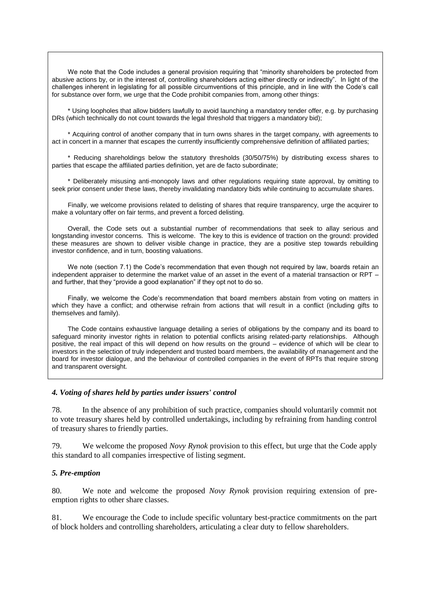We note that the Code includes a general provision requiring that "minority shareholders be protected from abusive actions by, or in the interest of, controlling shareholders acting either directly or indirectly". In light of the challenges inherent in legislating for all possible circumventions of this principle, and in line with the Code's call for substance over form, we urge that the Code prohibit companies from, among other things:

\* Using loopholes that allow bidders lawfully to avoid launching a mandatory tender offer, e.g. by purchasing DRs (which technically do not count towards the legal threshold that triggers a mandatory bid);

\* Acquiring control of another company that in turn owns shares in the target company, with agreements to act in concert in a manner that escapes the currently insufficiently comprehensive definition of affiliated parties;

\* Reducing shareholdings below the statutory thresholds (30/50/75%) by distributing excess shares to parties that escape the affiliated parties definition, yet are de facto subordinate;

\* Deliberately misusing anti-monopoly laws and other regulations requiring state approval, by omitting to seek prior consent under these laws, thereby invalidating mandatory bids while continuing to accumulate shares.

Finally, we welcome provisions related to delisting of shares that require transparency, urge the acquirer to make a voluntary offer on fair terms, and prevent a forced delisting.

Overall, the Code sets out a substantial number of recommendations that seek to allay serious and longstanding investor concerns. This is welcome. The key to this is evidence of traction on the ground: provided these measures are shown to deliver visible change in practice, they are a positive step towards rebuilding investor confidence, and in turn, boosting valuations.

We note (section 7.1) the Code's recommendation that even though not required by law, boards retain an independent appraiser to determine the market value of an asset in the event of a material transaction or RPT – and further, that they "provide a good explanation" if they opt not to do so.

Finally, we welcome the Code's recommendation that board members abstain from voting on matters in which they have a conflict; and otherwise refrain from actions that will result in a conflict (including gifts to themselves and family).

The Code contains exhaustive language detailing a series of obligations by the company and its board to safeguard minority investor rights in relation to potential conflicts arising related-party relationships. Although positive, the real impact of this will depend on how results on the ground – evidence of which will be clear to investors in the selection of truly independent and trusted board members, the availability of management and the board for investor dialogue, and the behaviour of controlled companies in the event of RPTs that require strong and transparent oversight.

#### <span id="page-19-0"></span>*4. Voting of shares held by parties under issuers' control*

78. In the absence of any prohibition of such practice, companies should voluntarily commit not to vote treasury shares held by controlled undertakings, including by refraining from handing control of treasury shares to friendly parties.

79. We welcome the proposed *Novy Rynok* provision to this effect, but urge that the Code apply this standard to all companies irrespective of listing segment.

# <span id="page-19-1"></span>*5. Pre-emption*

80. We note and welcome the proposed *Novy Rynok* provision requiring extension of preemption rights to other share classes.

81. We encourage the Code to include specific voluntary best-practice commitments on the part of block holders and controlling shareholders, articulating a clear duty to fellow shareholders.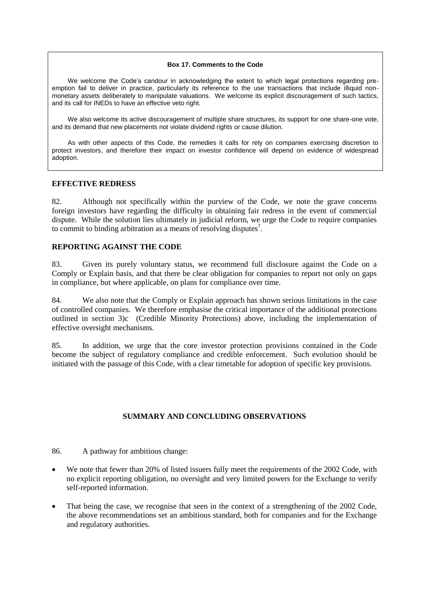#### **Box 17. Comments to the Code**

We welcome the Code's candour in acknowledging the extent to which legal protections regarding preemption fail to deliver in practice, particularly its reference to the use transactions that include illiquid nonmonetary assets deliberately to manipulate valuations. We welcome its explicit discouragement of such tactics, and its call for INEDs to have an effective veto right.

We also welcome its active discouragement of multiple share structures, its support for one share-one vote, and its demand that new placements not violate dividend rights or cause dilution.

As with other aspects of this Code, the remedies it calls for rely on companies exercising discretion to protect investors, and therefore their impact on investor confidence will depend on evidence of widespread adoption.

## <span id="page-20-0"></span>**EFFECTIVE REDRESS**

82. Although not specifically within the purview of the Code, we note the grave concerns foreign investors have regarding the difficulty in obtaining fair redress in the event of commercial dispute. While the solution lies ultimately in judicial reform, we urge the Code to require companies to commit to binding arbitration as a means of resolving disputes<sup>7</sup>.

# <span id="page-20-1"></span>**REPORTING AGAINST THE CODE**

83. Given its purely voluntary status, we recommend full disclosure against the Code on a Comply or Explain basis, and that there be clear obligation for companies to report not only on gaps in compliance, but where applicable, on plans for compliance over time.

84. We also note that the Comply or Explain approach has shown serious limitations in the case of controlled companies. We therefore emphasise the critical importance of the additional protections outlined in section 3)c (Credible Minority Protections) above, including the implementation of effective oversight mechanisms.

85. In addition, we urge that the core investor protection provisions contained in the Code become the subject of regulatory compliance and credible enforcement. Such evolution should be initiated with the passage of this Code, with a clear timetable for adoption of specific key provisions.

# <span id="page-20-2"></span>**SUMMARY AND CONCLUDING OBSERVATIONS**

86. A pathway for ambitious change:

- We note that fewer than 20% of listed issuers fully meet the requirements of the 2002 Code, with no explicit reporting obligation, no oversight and very limited powers for the Exchange to verify self-reported information.
- That being the case, we recognise that seen in the context of a strengthening of the 2002 Code, the above recommendations set an ambitious standard, both for companies and for the Exchange and regulatory authorities.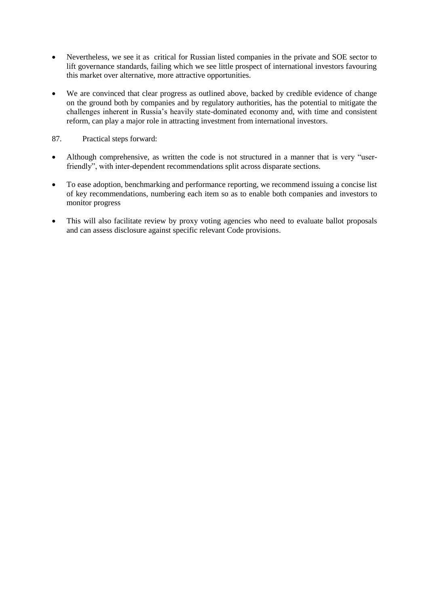- Nevertheless, we see it as critical for Russian listed companies in the private and SOE sector to lift governance standards, failing which we see little prospect of international investors favouring this market over alternative, more attractive opportunities.
- We are convinced that clear progress as outlined above, backed by credible evidence of change on the ground both by companies and by regulatory authorities, has the potential to mitigate the challenges inherent in Russia"s heavily state-dominated economy and, with time and consistent reform, can play a major role in attracting investment from international investors.
- 87. Practical steps forward:
- Although comprehensive, as written the code is not structured in a manner that is very "userfriendly", with inter-dependent recommendations split across disparate sections.
- To ease adoption, benchmarking and performance reporting, we recommend issuing a concise list of key recommendations, numbering each item so as to enable both companies and investors to monitor progress
- This will also facilitate review by proxy voting agencies who need to evaluate ballot proposals and can assess disclosure against specific relevant Code provisions.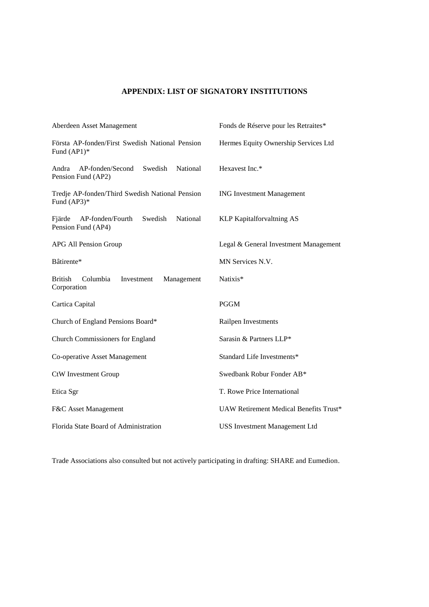# <span id="page-22-0"></span>**APPENDIX: LIST OF SIGNATORY INSTITUTIONS**

| Aberdeen Asset Management                                                     | Fonds de Réserve pour les Retraites*   |
|-------------------------------------------------------------------------------|----------------------------------------|
| Första AP-fonden/First Swedish National Pension<br>Fund $(AP1)*$              | Hermes Equity Ownership Services Ltd   |
| AP-fonden/Second<br>Swedish<br><b>National</b><br>Andra<br>Pension Fund (AP2) | Hexavest Inc.*                         |
| Tredje AP-fonden/Third Swedish National Pension<br>Fund $(AP3)*$              | <b>ING Investment Management</b>       |
| National<br>Fjärde<br>AP-fonden/Fourth<br>Swedish<br>Pension Fund (AP4)       | KLP Kapitalforvaltning AS              |
| APG All Pension Group                                                         | Legal & General Investment Management  |
| Bâtirente*                                                                    | MN Services N.V.                       |
| <b>British</b><br>Columbia<br>Investment<br>Management<br>Corporation         | Natixis*                               |
| Cartica Capital                                                               | <b>PGGM</b>                            |
| Church of England Pensions Board*                                             | Railpen Investments                    |
| <b>Church Commissioners for England</b>                                       | Sarasin & Partners LLP*                |
| Co-operative Asset Management                                                 | Standard Life Investments*             |
| <b>CtW</b> Investment Group                                                   | Swedbank Robur Fonder AB*              |
| Etica Sgr                                                                     | T. Rowe Price International            |
| F&C Asset Management                                                          | UAW Retirement Medical Benefits Trust* |
| Florida State Board of Administration                                         | <b>USS Investment Management Ltd</b>   |

Trade Associations also consulted but not actively participating in drafting: SHARE and Eumedion.